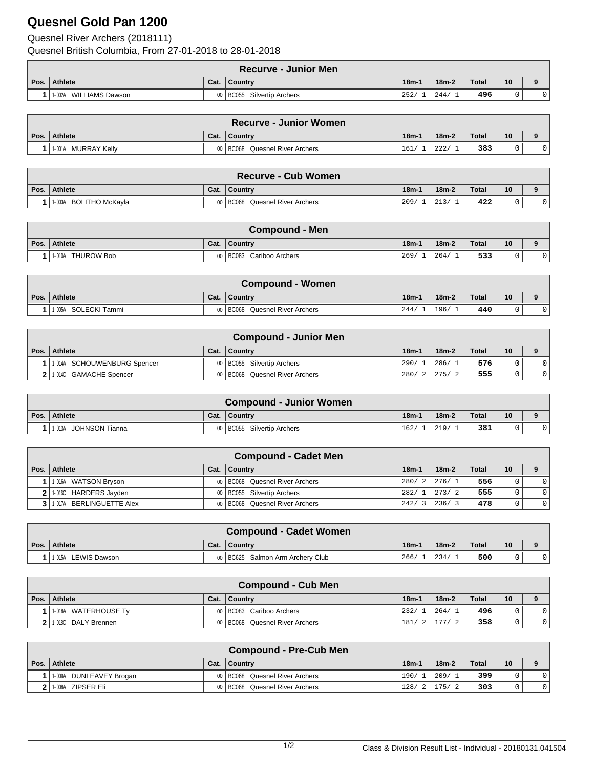## **Quesnel Gold Pan 1200**

Quesnel River Archers (2018111) Quesnel British Columbia, From 27-01-2018 to 28-01-2018

|      | <b>Recurve - Junior Men</b> |                |                         |         |         |              |    |  |  |  |
|------|-----------------------------|----------------|-------------------------|---------|---------|--------------|----|--|--|--|
| Pos. | Athlete                     | Cat.           | ⊩Countrv                | $18m-1$ | $18m-2$ | <b>Total</b> | 10 |  |  |  |
|      | WILLIAMS Dawson<br>1-002A   | 0 <sub>0</sub> | BC055 Silvertip Archers | 252/    | 244/    | 496          |    |  |  |  |

|                     |      | <b>Recurve - Junior Women</b>    |         |         |       |    |             |
|---------------------|------|----------------------------------|---------|---------|-------|----|-------------|
| Pos. Athlete        | Cat. | Country                          | $18m-1$ | $18m-2$ | Total | 10 | $\mathbf o$ |
| 1-001A MURRAY Kelly |      | 1 BC068<br>Quesnel River Archers | 161/    | 222/    | 383   |    |             |

|      | <b>Recurve - Cub Women</b> |      |                                  |         |         |              |    |  |  |  |
|------|----------------------------|------|----------------------------------|---------|---------|--------------|----|--|--|--|
| Pos. | Athlete                    | Cat. | <b>Country</b>                   | $18m -$ | $18m-2$ | <b>Total</b> | 10 |  |  |  |
|      | BOLITHO McKavla<br>1-003A  |      | 00   BC068 Quesnel River Archers | 209/    | 213/    | 422          |    |  |  |  |

| <b>Compound - Men</b> |         |                       |         |         |       |    |  |  |
|-----------------------|---------|-----------------------|---------|---------|-------|----|--|--|
| Pos. Athlete          | Cat.    | l Countrv             | $18m -$ | $18m-2$ | Total | 10 |  |  |
| THUROW Bob<br>1-010A  | $00 \,$ | BC083 Cariboo Archers | 269/    | 264/    | 533   |    |  |  |

| <b>Compound - Women</b> |      |                                |         |         |              |    |  |  |
|-------------------------|------|--------------------------------|---------|---------|--------------|----|--|--|
| Pos. Athlete            | Cat. | ∣ Countrv                      | $18m -$ | $18m-2$ | <b>Total</b> | 10 |  |  |
| SOLECKI Tammi<br>1-005A |      | 00 BC068 Quesnel River Archers | 244/    | 196/    | 440          |    |  |  |

| <b>Compound - Junior Men</b> |      |                                |                        |         |       |    |  |  |  |
|------------------------------|------|--------------------------------|------------------------|---------|-------|----|--|--|--|
| Pos.   Athlete               | Cat. | Country                        | $18m -$                | $18m-2$ | Total | 10 |  |  |  |
| 1-014A SCHOUWENBURG Spencer  |      | 00   BC055 Silvertip Archers   | 290/                   | 286/1   | 576   |    |  |  |  |
| 2 1.014C GAMACHE Spencer     |      | 00 BC068 Quesnel River Archers | 280/<br>2 <sup>1</sup> | 275/2   | 555   |    |  |  |  |

| <b>Compound - Junior Women</b> |      |                              |         |         |       |    |  |  |  |
|--------------------------------|------|------------------------------|---------|---------|-------|----|--|--|--|
| Pos.   Athlete                 | Cat. | <b>Country</b>               | $18m -$ | $18m-2$ | Total | 10 |  |  |  |
| 1013A JOHNSON Tianna           |      | 00   BC055 Silvertip Archers | 162/    | 219/    | 381   |    |  |  |  |

|                              |         | <b>Compound - Cadet Men</b>      |         |         |              |    |                |
|------------------------------|---------|----------------------------------|---------|---------|--------------|----|----------------|
| Pos.   Athlete               | Cat.    | Country                          | $18m -$ | $18m-2$ | <b>Total</b> | 10 |                |
| 1-016A WATSON Bryson         |         | 00   BC068 Quesnel River Archers | 280/2   | 276/1   | 556          |    | $\Omega$       |
| 2 1.016C HARDERS Jayden      |         | 00   BC055 Silvertip Archers     | 282/1   | 273/2   | 555          |    | $\Omega$       |
| 3 1 1 017A BERLINGUETTE Alex | $00 \,$ | BC068 Quesnel River Archers      | 242/    | 236/    | 478          |    | $\overline{0}$ |

|      | <b>Compound - Cadet Women</b> |      |                                    |         |         |              |                 |  |  |  |
|------|-------------------------------|------|------------------------------------|---------|---------|--------------|-----------------|--|--|--|
| Pos. | Athlete                       | Cat. | Country                            | $18m-1$ | $18m-2$ | <b>Total</b> | 10 <sup>°</sup> |  |  |  |
|      | 1-015A LEWIS Dawson           |      | 00   BC625 Salmon Arm Archery Club | 266/    | 234/    | 500          |                 |  |  |  |

|      | <b>Compound - Cub Men</b> |      |                                  |         |             |       |        |  |  |
|------|---------------------------|------|----------------------------------|---------|-------------|-------|--------|--|--|
| Pos. | Athlete                   | Cat. | Country                          | $18m -$ | $18m-2$     | Total | 10     |  |  |
|      | 1-018A WATERHOUSE Ty      |      | 00   BC083 Cariboo Archers       | 232/    | 264/1       | 496   |        |  |  |
|      | 1.018C DALY Brennen       |      | 00   BC068 Quesnel River Archers | 181/2   | 777/<br>- 2 | 358   | $\sim$ |  |  |

|                         |      | <b>Compound - Pre-Cub Men</b>    |         |         |       |                 |  |
|-------------------------|------|----------------------------------|---------|---------|-------|-----------------|--|
| Pos. Athlete            | Cat. | Country                          | $18m-1$ | $18m-2$ | Total | 10 <sup>°</sup> |  |
| 1-009A DUNLEAVEY Brogan |      | 00   BC068 Quesnel River Archers | 190/    | 209/    | 399.  |                 |  |
| 11-008A ZIPSER Eli      |      | 00   BC068 Quesnel River Archers | 128/2   | 175/    | 303   |                 |  |